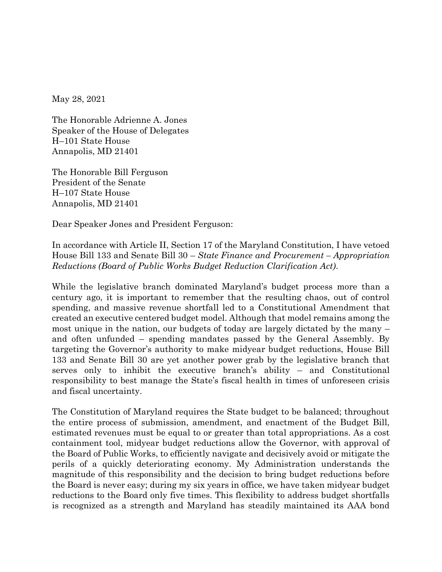May 28, 2021

The Honorable Adrienne A. Jones Speaker of the House of Delegates H–101 State House Annapolis, MD 21401

The Honorable Bill Ferguson President of the Senate H–107 State House Annapolis, MD 21401

Dear Speaker Jones and President Ferguson:

In accordance with Article II, Section 17 of the Maryland Constitution, I have vetoed House Bill 133 and Senate Bill 30 – *State Finance and Procurement – Appropriation Reductions (Board of Public Works Budget Reduction Clarification Act)*.

While the legislative branch dominated Maryland's budget process more than a century ago, it is important to remember that the resulting chaos, out of control spending, and massive revenue shortfall led to a Constitutional Amendment that created an executive centered budget model. Although that model remains among the most unique in the nation, our budgets of today are largely dictated by the many – and often unfunded – spending mandates passed by the General Assembly. By targeting the Governor's authority to make midyear budget reductions, House Bill 133 and Senate Bill 30 are yet another power grab by the legislative branch that serves only to inhibit the executive branch's ability – and Constitutional responsibility to best manage the State's fiscal health in times of unforeseen crisis and fiscal uncertainty.

The Constitution of Maryland requires the State budget to be balanced; throughout the entire process of submission, amendment, and enactment of the Budget Bill, estimated revenues must be equal to or greater than total appropriations. As a cost containment tool, midyear budget reductions allow the Governor, with approval of the Board of Public Works, to efficiently navigate and decisively avoid or mitigate the perils of a quickly deteriorating economy. My Administration understands the magnitude of this responsibility and the decision to bring budget reductions before the Board is never easy; during my six years in office, we have taken midyear budget reductions to the Board only five times. This flexibility to address budget shortfalls is recognized as a strength and Maryland has steadily maintained its AAA bond